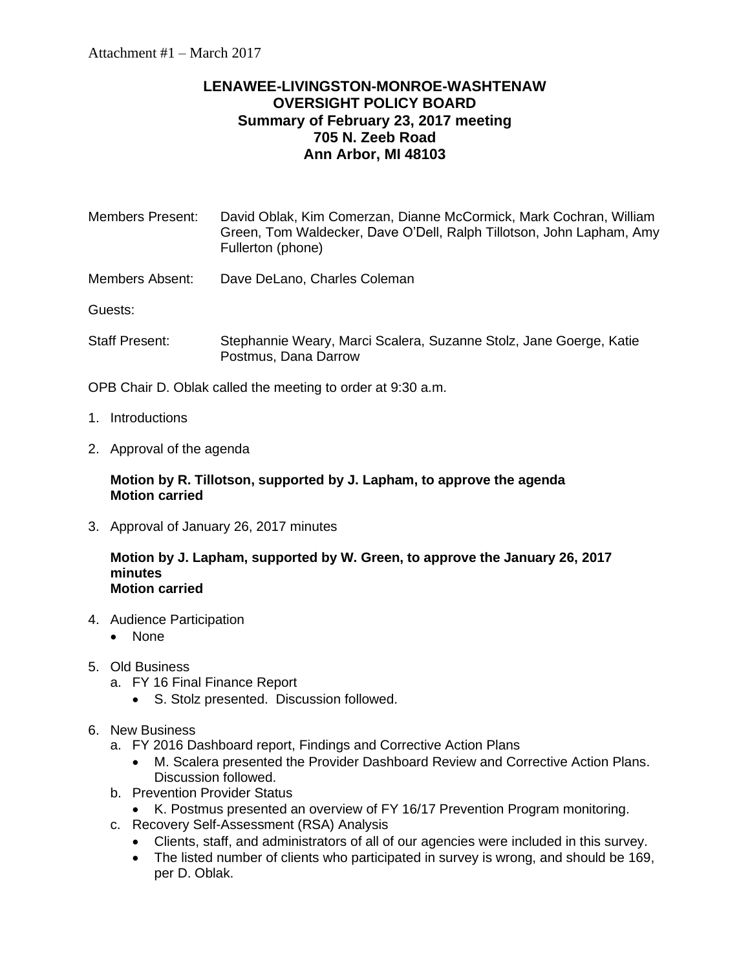## **LENAWEE-LIVINGSTON-MONROE-WASHTENAW OVERSIGHT POLICY BOARD Summary of February 23, 2017 meeting 705 N. Zeeb Road Ann Arbor, MI 48103**

| <b>Members Present:</b> | David Oblak, Kim Comerzan, Dianne McCormick, Mark Cochran, William<br>Green, Tom Waldecker, Dave O'Dell, Ralph Tillotson, John Lapham, Amy<br>Fullerton (phone) |
|-------------------------|-----------------------------------------------------------------------------------------------------------------------------------------------------------------|
| Members Absent:         | Dave DeLano, Charles Coleman                                                                                                                                    |

Guests:

Staff Present: Stephannie Weary, Marci Scalera, Suzanne Stolz, Jane Goerge, Katie Postmus, Dana Darrow

OPB Chair D. Oblak called the meeting to order at 9:30 a.m.

- 1. Introductions
- 2. Approval of the agenda

## **Motion by R. Tillotson, supported by J. Lapham, to approve the agenda Motion carried**

3. Approval of January 26, 2017 minutes

## **Motion by J. Lapham, supported by W. Green, to approve the January 26, 2017 minutes Motion carried**

- 4. Audience Participation
	- None
- 5. Old Business
	- a. FY 16 Final Finance Report
		- S. Stolz presented. Discussion followed.
- 6. New Business
	- a. FY 2016 Dashboard report, Findings and Corrective Action Plans
		- M. Scalera presented the Provider Dashboard Review and Corrective Action Plans. Discussion followed.
	- b. Prevention Provider Status
		- K. Postmus presented an overview of FY 16/17 Prevention Program monitoring.
	- c. Recovery Self-Assessment (RSA) Analysis
		- Clients, staff, and administrators of all of our agencies were included in this survey.
		- The listed number of clients who participated in survey is wrong, and should be 169, per D. Oblak.